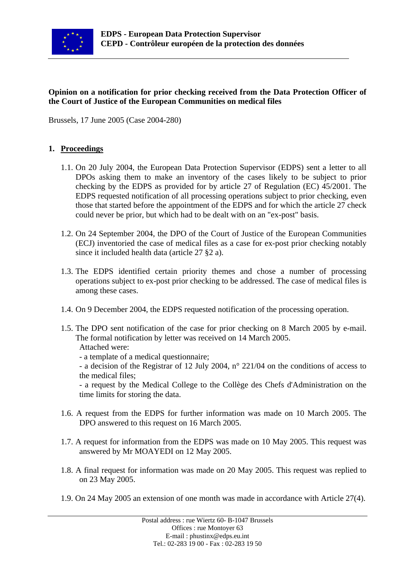

### **Opinion on a notification for prior checking received from the Data Protection Officer of the Court of Justice of the European Communities on medical files**

Brussels, 17 June 2005 (Case 2004-280)

### **1. Proceedings**

- 1.1. On 20 July 2004, the European Data Protection Supervisor (EDPS) sent a letter to all DPOs asking them to make an inventory of the cases likely to be subject to prior checking by the EDPS as provided for by article 27 of Regulation (EC) 45/2001. The EDPS requested notification of all processing operations subject to prior checking, even those that started before the appointment of the EDPS and for which the article 27 check could never be prior, but which had to be dealt with on an "ex-post" basis.
- 1.2. On 24 September 2004, the DPO of the Court of Justice of the European Communities (ECJ) inventoried the case of medical files as a case for ex-post prior checking notably since it included health data (article 27 §2 a).
- 1.3. The EDPS identified certain priority themes and chose a number of processing operations subject to ex-post prior checking to be addressed. The case of medical files is among these cases.
- 1.4. On 9 December 2004, the EDPS requested notification of the processing operation.
- 1.5. The DPO sent notification of the case for prior checking on 8 March 2005 by e-mail. The formal notification by letter was received on 14 March 2005.

#### Attached were:

- a template of a medical questionnaire;
- a decision of the Registrar of 12 July 2004, n° 221/04 on the conditions of access to the medical files;

- a request by the Medical College to the Collège des Chefs d'Administration on the time limits for storing the data.

- 1.6. A request from the EDPS for further information was made on 10 March 2005. The DPO answered to this request on 16 March 2005.
- 1.7. A request for information from the EDPS was made on 10 May 2005. This request was answered by Mr MOAYEDI on 12 May 2005.
- 1.8. A final request for information was made on 20 May 2005. This request was replied to on 23 May 2005.
- 1.9. On 24 May 2005 an extension of one month was made in accordance with Article 27(4).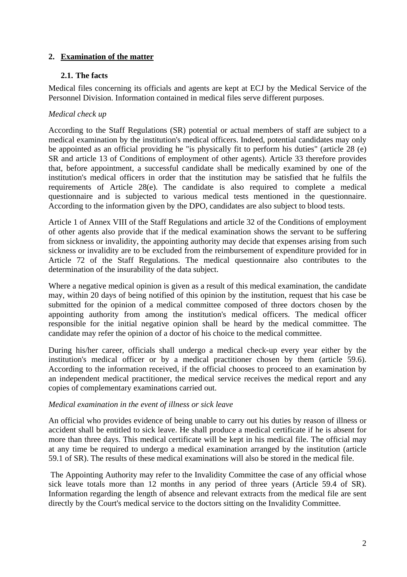## **2. Examination of the matter**

### **2.1. The facts**

Medical files concerning its officials and agents are kept at ECJ by the Medical Service of the Personnel Division. Information contained in medical files serve different purposes.

## *Medical check up*

According to the Staff Regulations (SR) potential or actual members of staff are subject to a medical examination by the institution's medical officers. Indeed, potential candidates may only be appointed as an official providing he "is physically fit to perform his duties" (article 28 (e) SR and article 13 of Conditions of employment of other agents). Article 33 therefore provides that, before appointment, a successful candidate shall be medically examined by one of the institution's medical officers in order that the institution may be satisfied that he fulfils the requirements of Article 28(e). The candidate is also required to complete a medical questionnaire and is subjected to various medical tests mentioned in the questionnaire. According to the information given by the DPO, candidates are also subject to blood tests.

Article 1 of Annex VIII of the Staff Regulations and article 32 of the Conditions of employment of other agents also provide that if the medical examination shows the servant to be suffering from sickness or invalidity, the appointing authority may decide that expenses arising from such sickness or invalidity are to be excluded from the reimbursement of expenditure provided for in Article 72 of the Staff Regulations. The medical questionnaire also contributes to the determination of the insurability of the data subject.

Where a negative medical opinion is given as a result of this medical examination, the candidate may, within 20 days of being notified of this opinion by the institution, request that his case be submitted for the opinion of a medical committee composed of three doctors chosen by the appointing authority from among the institution's medical officers. The medical officer responsible for the initial negative opinion shall be heard by the medical committee. The candidate may refer the opinion of a doctor of his choice to the medical committee.

During his/her career, officials shall undergo a medical check-up every year either by the institution's medical officer or by a medical practitioner chosen by them (article 59.6). According to the information received, if the official chooses to proceed to an examination by an independent medical practitioner, the medical service receives the medical report and any copies of complementary examinations carried out.

### *Medical examination in the event of illness or sick leave*

An official who provides evidence of being unable to carry out his duties by reason of illness or accident shall be entitled to sick leave. He shall produce a medical certificate if he is absent for more than three days. This medical certificate will be kept in his medical file. The official may at any time be required to undergo a medical examination arranged by the institution (article 59.1 of SR). The results of these medical examinations will also be stored in the medical file.

The Appointing Authority may refer to the Invalidity Committee the case of any official whose sick leave totals more than 12 months in any period of three years (Article 59.4 of SR). Information regarding the length of absence and relevant extracts from the medical file are sent directly by the Court's medical service to the doctors sitting on the Invalidity Committee.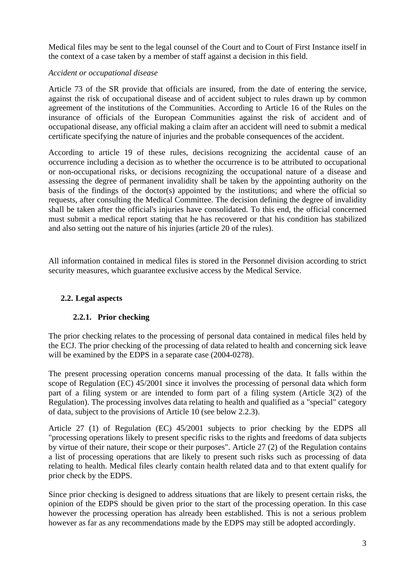Medical files may be sent to the legal counsel of the Court and to Court of First Instance itself in the context of a case taken by a member of staff against a decision in this field.

## *Accident or occupational disease*

Article 73 of the SR provide that officials are insured, from the date of entering the service, against the risk of occupational disease and of accident subject to rules drawn up by common agreement of the institutions of the Communities. According to Article 16 of the Rules on the insurance of officials of the European Communities against the risk of accident and of occupational disease, any official making a claim after an accident will need to submit a medical certificate specifying the nature of injuries and the probable consequences of the accident.

According to article 19 of these rules, decisions recognizing the accidental cause of an occurrence including a decision as to whether the occurrence is to be attributed to occupational or non-occupational risks, or decisions recognizing the occupational nature of a disease and assessing the degree of permanent invalidity shall be taken by the appointing authority on the basis of the findings of the doctor(s) appointed by the institutions; and where the official so requests, after consulting the Medical Committee. The decision defining the degree of invalidity shall be taken after the official's injuries have consolidated. To this end, the official concerned must submit a medical report stating that he has recovered or that his condition has stabilized and also setting out the nature of his injuries (article 20 of the rules).

All information contained in medical files is stored in the Personnel division according to strict security measures, which guarantee exclusive access by the Medical Service.

# **2.2. Legal aspects**

# **2.2.1. Prior checking**

The prior checking relates to the processing of personal data contained in medical files held by the ECJ. The prior checking of the processing of data related to health and concerning sick leave will be examined by the EDPS in a separate case (2004-0278).

The present processing operation concerns manual processing of the data. It falls within the scope of Regulation (EC) 45/2001 since it involves the processing of personal data which form part of a filing system or are intended to form part of a filing system (Article 3(2) of the Regulation). The processing involves data relating to health and qualified as a "special" category of data, subject to the provisions of Article 10 (see below 2.2.3).

Article 27 (1) of Regulation (EC) 45/2001 subjects to prior checking by the EDPS all "processing operations likely to present specific risks to the rights and freedoms of data subjects by virtue of their nature, their scope or their purposes". Article 27 (2) of the Regulation contains a list of processing operations that are likely to present such risks such as processing of data relating to health. Medical files clearly contain health related data and to that extent qualify for prior check by the EDPS.

Since prior checking is designed to address situations that are likely to present certain risks, the opinion of the EDPS should be given prior to the start of the processing operation. In this case however the processing operation has already been established. This is not a serious problem however as far as any recommendations made by the EDPS may still be adopted accordingly.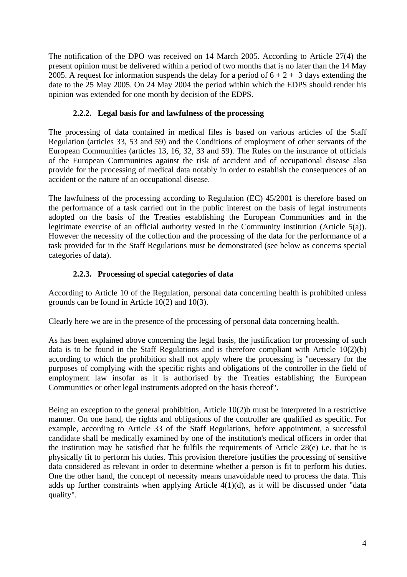The notification of the DPO was received on 14 March 2005. According to Article 27(4) the present opinion must be delivered within a period of two months that is no later than the 14 May 2005. A request for information suspends the delay for a period of  $6 + 2 + 3$  days extending the date to the 25 May 2005. On 24 May 2004 the period within which the EDPS should render his opinion was extended for one month by decision of the EDPS.

# **2.2.2. Legal basis for and lawfulness of the processing**

The processing of data contained in medical files is based on various articles of the Staff Regulation (articles 33, 53 and 59) and the Conditions of employment of other servants of the European Communities (articles 13, 16, 32, 33 and 59). The Rules on the insurance of officials of the European Communities against the risk of accident and of occupational disease also provide for the processing of medical data notably in order to establish the consequences of an accident or the nature of an occupational disease.

The lawfulness of the processing according to Regulation (EC) 45/2001 is therefore based on the performance of a task carried out in the public interest on the basis of legal instruments adopted on the basis of the Treaties establishing the European Communities and in the legitimate exercise of an official authority vested in the Community institution (Article 5(a)). However the necessity of the collection and the processing of the data for the performance of a task provided for in the Staff Regulations must be demonstrated (see below as concerns special categories of data).

# **2.2.3. Processing of special categories of data**

According to Article 10 of the Regulation, personal data concerning health is prohibited unless grounds can be found in Article 10(2) and 10(3).

Clearly here we are in the presence of the processing of personal data concerning health.

As has been explained above concerning the legal basis, the justification for processing of such data is to be found in the Staff Regulations and is therefore compliant with Article  $10(2)(b)$ according to which the prohibition shall not apply where the processing is "necessary for the purposes of complying with the specific rights and obligations of the controller in the field of employment law insofar as it is authorised by the Treaties establishing the European Communities or other legal instruments adopted on the basis thereof".

Being an exception to the general prohibition, Article 10(2)b must be interpreted in a restrictive manner. On one hand, the rights and obligations of the controller are qualified as specific. For example, according to Article 33 of the Staff Regulations, before appointment, a successful candidate shall be medically examined by one of the institution's medical officers in order that the institution may be satisfied that he fulfils the requirements of Article 28(e) i.e. that he is physically fit to perform his duties. This provision therefore justifies the processing of sensitive data considered as relevant in order to determine whether a person is fit to perform his duties. One the other hand, the concept of necessity means unavoidable need to process the data. This adds up further constraints when applying Article 4(1)(d), as it will be discussed under "data quality".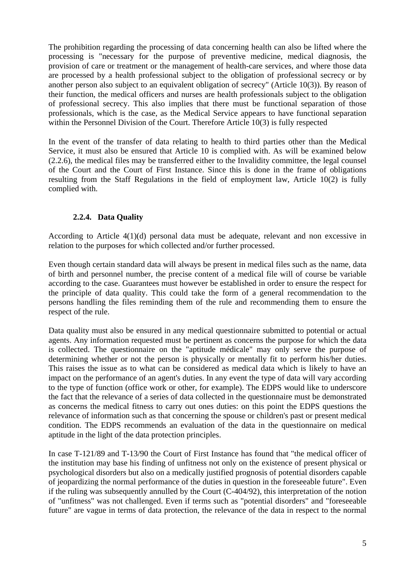The prohibition regarding the processing of data concerning health can also be lifted where the processing is "necessary for the purpose of preventive medicine, medical diagnosis, the provision of care or treatment or the management of health-care services, and where those data are processed by a health professional subject to the obligation of professional secrecy or by another person also subject to an equivalent obligation of secrecy" (Article 10(3)). By reason of their function, the medical officers and nurses are health professionals subject to the obligation of professional secrecy. This also implies that there must be functional separation of those professionals, which is the case, as the Medical Service appears to have functional separation within the Personnel Division of the Court. Therefore Article 10(3) is fully respected

In the event of the transfer of data relating to health to third parties other than the Medical Service, it must also be ensured that Article 10 is complied with. As will be examined below (2.2.6), the medical files may be transferred either to the Invalidity committee, the legal counsel of the Court and the Court of First Instance. Since this is done in the frame of obligations resulting from the Staff Regulations in the field of employment law, Article 10(2) is fully complied with.

### **2.2.4. Data Quality**

According to Article 4(1)(d) personal data must be adequate, relevant and non excessive in relation to the purposes for which collected and/or further processed.

Even though certain standard data will always be present in medical files such as the name, data of birth and personnel number, the precise content of a medical file will of course be variable according to the case. Guarantees must however be established in order to ensure the respect for the principle of data quality. This could take the form of a general recommendation to the persons handling the files reminding them of the rule and recommending them to ensure the respect of the rule.

Data quality must also be ensured in any medical questionnaire submitted to potential or actual agents. Any information requested must be pertinent as concerns the purpose for which the data is collected. The questionnaire on the "aptitude médicale" may only serve the purpose of determining whether or not the person is physically or mentally fit to perform his/her duties. This raises the issue as to what can be considered as medical data which is likely to have an impact on the performance of an agent's duties. In any event the type of data will vary according to the type of function (office work or other, for example). The EDPS would like to underscore the fact that the relevance of a series of data collected in the questionnaire must be demonstrated as concerns the medical fitness to carry out ones duties: on this point the EDPS questions the relevance of information such as that concerning the spouse or children's past or present medical condition. The EDPS recommends an evaluation of the data in the questionnaire on medical aptitude in the light of the data protection principles.

In case T-121/89 and T-13/90 the Court of First Instance has found that "the medical officer of the institution may base his finding of unfitness not only on the existence of present physical or psychological disorders but also on a medically justified prognosis of potential disorders capable of jeopardizing the normal performance of the duties in question in the foreseeable future". Even if the ruling was subsequently annulled by the Court (C-404/92), this interpretation of the notion of "unfitness" was not challenged. Even if terms such as "potential disorders" and "foreseeable future" are vague in terms of data protection, the relevance of the data in respect to the normal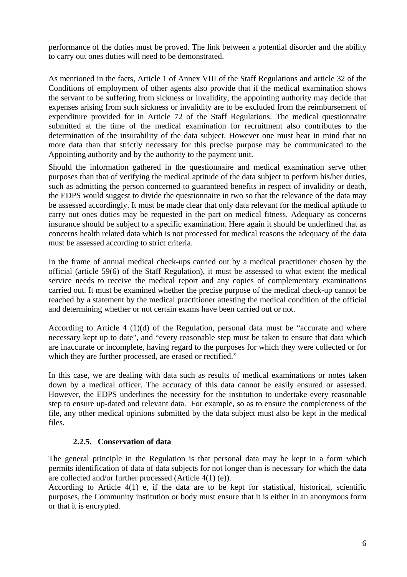performance of the duties must be proved. The link between a potential disorder and the ability to carry out ones duties will need to be demonstrated.

As mentioned in the facts, Article 1 of Annex VIII of the Staff Regulations and article 32 of the Conditions of employment of other agents also provide that if the medical examination shows the servant to be suffering from sickness or invalidity, the appointing authority may decide that expenses arising from such sickness or invalidity are to be excluded from the reimbursement of expenditure provided for in Article 72 of the Staff Regulations. The medical questionnaire submitted at the time of the medical examination for recruitment also contributes to the determination of the insurability of the data subject. However one must bear in mind that no more data than that strictly necessary for this precise purpose may be communicated to the Appointing authority and by the authority to the payment unit.

Should the information gathered in the questionnaire and medical examination serve other purposes than that of verifying the medical aptitude of the data subject to perform his/her duties, such as admitting the person concerned to guaranteed benefits in respect of invalidity or death, the EDPS would suggest to divide the questionnaire in two so that the relevance of the data may be assessed accordingly. It must be made clear that only data relevant for the medical aptitude to carry out ones duties may be requested in the part on medical fitness. Adequacy as concerns insurance should be subject to a specific examination. Here again it should be underlined that as concerns health related data which is not processed for medical reasons the adequacy of the data must be assessed according to strict criteria.

In the frame of annual medical check-ups carried out by a medical practitioner chosen by the official (article 59(6) of the Staff Regulation), it must be assessed to what extent the medical service needs to receive the medical report and any copies of complementary examinations carried out. It must be examined whether the precise purpose of the medical check-up cannot be reached by a statement by the medical practitioner attesting the medical condition of the official and determining whether or not certain exams have been carried out or not.

According to Article 4 (1)(d) of the Regulation, personal data must be "accurate and where necessary kept up to date", and "every reasonable step must be taken to ensure that data which are inaccurate or incomplete, having regard to the purposes for which they were collected or for which they are further processed, are erased or rectified."

In this case, we are dealing with data such as results of medical examinations or notes taken down by a medical officer. The accuracy of this data cannot be easily ensured or assessed. However, the EDPS underlines the necessity for the institution to undertake every reasonable step to ensure up-dated and relevant data. For example, so as to ensure the completeness of the file, any other medical opinions submitted by the data subject must also be kept in the medical files.

### **2.2.5. Conservation of data**

The general principle in the Regulation is that personal data may be kept in a form which permits identification of data of data subjects for not longer than is necessary for which the data are collected and/or further processed (Article 4(1) (e)).

According to Article 4(1) e, if the data are to be kept for statistical, historical, scientific purposes, the Community institution or body must ensure that it is either in an anonymous form or that it is encrypted.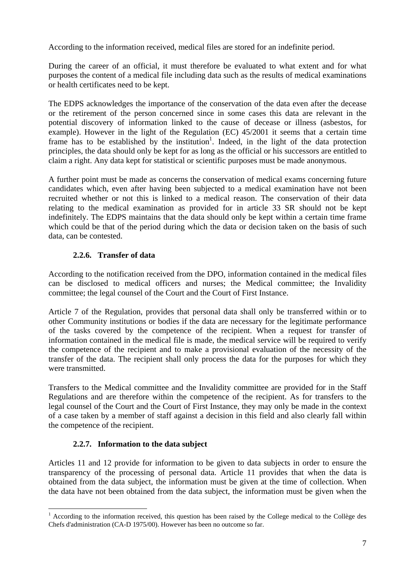According to the information received, medical files are stored for an indefinite period.

During the career of an official, it must therefore be evaluated to what extent and for what purposes the content of a medical file including data such as the results of medical examinations or health certificates need to be kept.

The EDPS acknowledges the importance of the conservation of the data even after the decease or the retirement of the person concerned since in some cases this data are relevant in the potential discovery of information linked to the cause of decease or illness (asbestos, for example). However in the light of the Regulation (EC) 45/2001 it seems that a certain time frame has to be established by the institution<sup>[1](#page-6-0)</sup>. Indeed, in the light of the data protection principles, the data should only be kept for as long as the official or his successors are entitled to claim a right. Any data kept for statistical or scientific purposes must be made anonymous.

A further point must be made as concerns the conservation of medical exams concerning future candidates which, even after having been subjected to a medical examination have not been recruited whether or not this is linked to a medical reason. The conservation of their data relating to the medical examination as provided for in article 33 SR should not be kept indefinitely. The EDPS maintains that the data should only be kept within a certain time frame which could be that of the period during which the data or decision taken on the basis of such data, can be contested.

## **2.2.6. Transfer of data**

According to the notification received from the DPO, information contained in the medical files can be disclosed to medical officers and nurses; the Medical committee; the Invalidity committee; the legal counsel of the Court and the Court of First Instance.

Article 7 of the Regulation, provides that personal data shall only be transferred within or to other Community institutions or bodies if the data are necessary for the legitimate performance of the tasks covered by the competence of the recipient. When a request for transfer of information contained in the medical file is made, the medical service will be required to verify the competence of the recipient and to make a provisional evaluation of the necessity of the transfer of the data. The recipient shall only process the data for the purposes for which they were transmitted.

Transfers to the Medical committee and the Invalidity committee are provided for in the Staff Regulations and are therefore within the competence of the recipient. As for transfers to the legal counsel of the Court and the Court of First Instance, they may only be made in the context of a case taken by a member of staff against a decision in this field and also clearly fall within the competence of the recipient.

# **2.2.7. Information to the data subject**

 $\overline{a}$ 

Articles 11 and 12 provide for information to be given to data subjects in order to ensure the transparency of the processing of personal data. Article 11 provides that when the data is obtained from the data subject, the information must be given at the time of collection. When the data have not been obtained from the data subject, the information must be given when the

<span id="page-6-0"></span> $1$  According to the information received, this question has been raised by the College medical to the Collège des Chefs d'administration (CA-D 1975/00). However has been no outcome so far.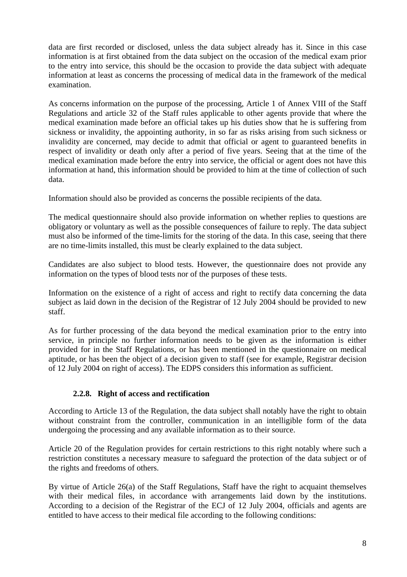data are first recorded or disclosed, unless the data subject already has it. Since in this case information is at first obtained from the data subject on the occasion of the medical exam prior to the entry into service, this should be the occasion to provide the data subject with adequate information at least as concerns the processing of medical data in the framework of the medical examination.

As concerns information on the purpose of the processing, Article 1 of Annex VIII of the Staff Regulations and article 32 of the Staff rules applicable to other agents provide that where the medical examination made before an official takes up his duties show that he is suffering from sickness or invalidity, the appointing authority, in so far as risks arising from such sickness or invalidity are concerned, may decide to admit that official or agent to guaranteed benefits in respect of invalidity or death only after a period of five years. Seeing that at the time of the medical examination made before the entry into service, the official or agent does not have this information at hand, this information should be provided to him at the time of collection of such data.

Information should also be provided as concerns the possible recipients of the data.

The medical questionnaire should also provide information on whether replies to questions are obligatory or voluntary as well as the possible consequences of failure to reply. The data subject must also be informed of the time-limits for the storing of the data. In this case, seeing that there are no time-limits installed, this must be clearly explained to the data subject.

Candidates are also subject to blood tests. However, the questionnaire does not provide any information on the types of blood tests nor of the purposes of these tests.

Information on the existence of a right of access and right to rectify data concerning the data subject as laid down in the decision of the Registrar of 12 July 2004 should be provided to new staff.

As for further processing of the data beyond the medical examination prior to the entry into service, in principle no further information needs to be given as the information is either provided for in the Staff Regulations, or has been mentioned in the questionnaire on medical aptitude, or has been the object of a decision given to staff (see for example, Registrar decision of 12 July 2004 on right of access). The EDPS considers this information as sufficient.

### **2.2.8. Right of access and rectification**

According to Article 13 of the Regulation, the data subject shall notably have the right to obtain without constraint from the controller, communication in an intelligible form of the data undergoing the processing and any available information as to their source.

Article 20 of the Regulation provides for certain restrictions to this right notably where such a restriction constitutes a necessary measure to safeguard the protection of the data subject or of the rights and freedoms of others.

By virtue of Article 26(a) of the Staff Regulations, Staff have the right to acquaint themselves with their medical files, in accordance with arrangements laid down by the institutions. According to a decision of the Registrar of the ECJ of 12 July 2004, officials and agents are entitled to have access to their medical file according to the following conditions: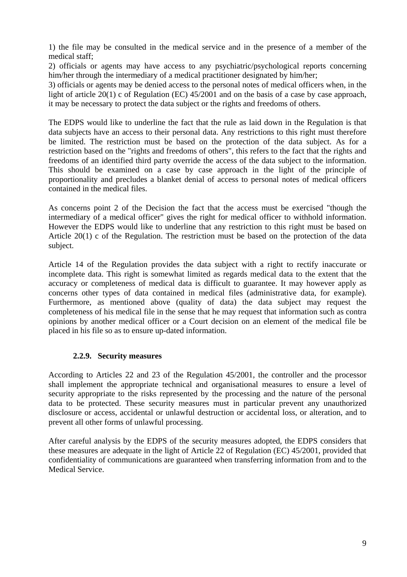1) the file may be consulted in the medical service and in the presence of a member of the medical staff;

2) officials or agents may have access to any psychiatric/psychological reports concerning him/her through the intermediary of a medical practitioner designated by him/her;

3) officials or agents may be denied access to the personal notes of medical officers when, in the light of article 20(1) c of Regulation (EC) 45/2001 and on the basis of a case by case approach, it may be necessary to protect the data subject or the rights and freedoms of others.

The EDPS would like to underline the fact that the rule as laid down in the Regulation is that data subjects have an access to their personal data. Any restrictions to this right must therefore be limited. The restriction must be based on the protection of the data subject. As for a restriction based on the "rights and freedoms of others", this refers to the fact that the rights and freedoms of an identified third party override the access of the data subject to the information. This should be examined on a case by case approach in the light of the principle of proportionality and precludes a blanket denial of access to personal notes of medical officers contained in the medical files.

As concerns point 2 of the Decision the fact that the access must be exercised "though the intermediary of a medical officer" gives the right for medical officer to withhold information. However the EDPS would like to underline that any restriction to this right must be based on Article 20(1) c of the Regulation. The restriction must be based on the protection of the data subject.

Article 14 of the Regulation provides the data subject with a right to rectify inaccurate or incomplete data. This right is somewhat limited as regards medical data to the extent that the accuracy or completeness of medical data is difficult to guarantee. It may however apply as concerns other types of data contained in medical files (administrative data, for example). Furthermore, as mentioned above (quality of data) the data subject may request the completeness of his medical file in the sense that he may request that information such as contra opinions by another medical officer or a Court decision on an element of the medical file be placed in his file so as to ensure up-dated information.

### **2.2.9. Security measures**

According to Articles 22 and 23 of the Regulation 45/2001, the controller and the processor shall implement the appropriate technical and organisational measures to ensure a level of security appropriate to the risks represented by the processing and the nature of the personal data to be protected. These security measures must in particular prevent any unauthorized disclosure or access, accidental or unlawful destruction or accidental loss, or alteration, and to prevent all other forms of unlawful processing.

After careful analysis by the EDPS of the security measures adopted, the EDPS considers that these measures are adequate in the light of Article 22 of Regulation (EC) 45/2001, provided that confidentiality of communications are guaranteed when transferring information from and to the Medical Service.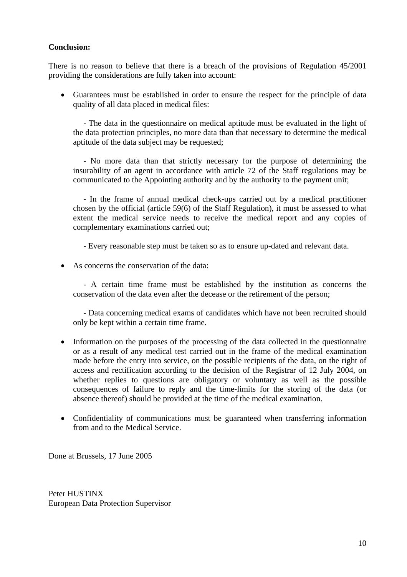#### **Conclusion:**

There is no reason to believe that there is a breach of the provisions of Regulation 45/2001 providing the considerations are fully taken into account:

• Guarantees must be established in order to ensure the respect for the principle of data quality of all data placed in medical files:

- The data in the questionnaire on medical aptitude must be evaluated in the light of the data protection principles, no more data than that necessary to determine the medical aptitude of the data subject may be requested;

- No more data than that strictly necessary for the purpose of determining the insurability of an agent in accordance with article 72 of the Staff regulations may be communicated to the Appointing authority and by the authority to the payment unit;

- In the frame of annual medical check-ups carried out by a medical practitioner chosen by the official (article 59(6) of the Staff Regulation), it must be assessed to what extent the medical service needs to receive the medical report and any copies of complementary examinations carried out;

- Every reasonable step must be taken so as to ensure up-dated and relevant data.

• As concerns the conservation of the data:

- A certain time frame must be established by the institution as concerns the conservation of the data even after the decease or the retirement of the person;

- Data concerning medical exams of candidates which have not been recruited should only be kept within a certain time frame.

- Information on the purposes of the processing of the data collected in the questionnaire or as a result of any medical test carried out in the frame of the medical examination made before the entry into service, on the possible recipients of the data, on the right of access and rectification according to the decision of the Registrar of 12 July 2004, on whether replies to questions are obligatory or voluntary as well as the possible consequences of failure to reply and the time-limits for the storing of the data (or absence thereof) should be provided at the time of the medical examination.
- Confidentiality of communications must be guaranteed when transferring information from and to the Medical Service.

Done at Brussels, 17 June 2005

Peter HUSTINX European Data Protection Supervisor